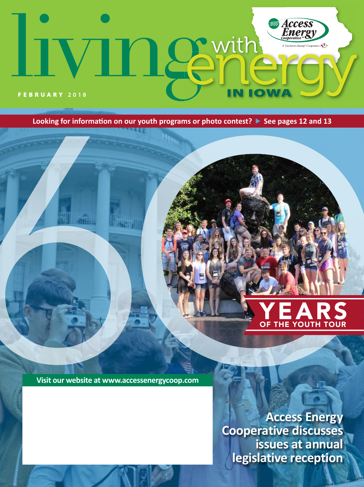# *Access*<br>*Energy* **R** with 12 ative **KTX** и. **IOW** FEBRUARY **2018**

**Looking for information on our youth programs or photo contest? See pages 12 and 13**

८११

 $2 - 11$ 

# **YEARS**

**Visit our website at www.accessenergycoop.com**

**Access Energy Cooperative discusses issues at annual legislative reception**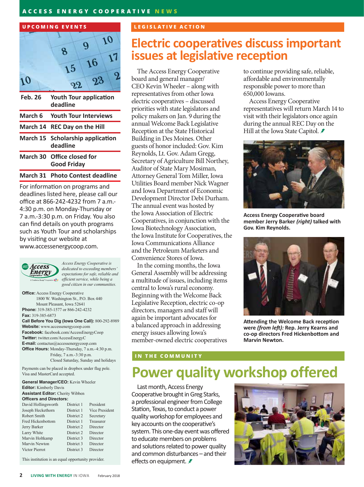### **ACCESS ENERGY COOPERATIVE NEWS**



| Feb. 26 | <b>Youth Tour application</b><br>deadline        |
|---------|--------------------------------------------------|
|         | March 6 Youth Tour Interviews                    |
|         | March 14 REC Day on the Hill                     |
|         | March 15 Scholarship application<br>deadline     |
|         | March 30 Office closed for<br><b>Good Friday</b> |
|         |                                                  |

### **March 31 Photo Contest deadline**

For information on programs and deadlines listed here, please call our office at 866-242-4232 from 7 a.m.- 4:30 p.m. on Monday-Thursday or 7 a.m.-3:30 p.m. on Friday. You also can find details on youth programs such as Youth Tour and scholarships by visiting our website at www.accessenergycoop.com.



*Access Energy Cooperative is dedicated to exceeding members' expectations for safe, reliable and efficient service, while being a good citizen in our communities.*

**Office:** Access Energy Cooperative 1800 W. Washington St., P.O. Box 440 Mount Pleasant, Iowa 52641 **Phone:** 319-385-1577 or 866-242-4232 **Fax:** 319-385-6873 **Call Before You Dig (Iowa One Call):** 800-292-8989 **Website:** www.accessenergycoop.com **Facebook:** facebook.com/AccessEnergyCoop **Twitter:** twitter.com/AccessEnergyC

**E-mail:** contactus@accessenergycoop.com **Office Hours:** Monday-Thursday, 7 a.m.-4:30 p.m. Friday, 7 a.m.-3:30 p.m. Closed Saturday, Sunday and holidays

Payments can be placed in dropbox under flag pole. Visa and MasterCard accepted.

**General Manager/CEO:** Kevin Wheeler **Editor:** Kimberly Davis **Assistant Editor:** Cherity Wibben **Officers and Directors:** David Hollingsworth District 1 President

| $P_{u}$ , ight in the set of $u$ | <b>DIDLIVE 1</b> | 1100100110            |
|----------------------------------|------------------|-----------------------|
| Joseph Heckethorn                | District 1       | <b>Vice President</b> |
| Robert Smith                     | District 2       | Secretary             |
| <b>Fred Hickenbottom</b>         | District 1       | Treasurer             |
| Jerry Barker                     | District 2       | Director              |
| Larry White                      | District 2       | Director              |
| Marvin Holtkamp                  | District 3       | Director              |
| Marvin Newton                    | District 3       | Director              |
| Victor Pierrot                   | District 3       | Director              |
|                                  |                  |                       |

This institution is an equal opportunity provider.

# **UPCOMING EVENTS LEGISLATIVE ACTION**

# **Electric cooperatives discuss important issues at legislative reception**

The Access Energy Cooperative board and general manager/ CEO Kevin Wheeler – along with representatives from other Iowa electric cooperatives – discussed priorities with state legislators and policy makers on Jan. 9 during the annual Welcome Back Legislative Reception at the State Historical Building in Des Moines. Other guests of honor included: Gov. Kim Reynolds, Lt. Gov. Adam Gregg, Secretary of Agriculture Bill Northey, Auditor of State Mary Mosiman, Attorney General Tom Miller, Iowa Utilities Board member Nick Wagner and Iowa Department of Economic Development Director Debi Durham. The annual event was hosted by the Iowa Association of Electric Cooperatives, in conjunction with the Iowa Biotechnology Association, the Iowa Institute for Cooperatives, the Iowa Communications Alliance and the Petroleum Marketers and Convenience Stores of Iowa.

In the coming months, the Iowa General Assembly will be addressing a multitude of issues, including items central to Iowa's rural economy. Beginning with the Welcome Back Legislative Reception, electric co-op directors, managers and staff will again be important advocates for a balanced approach in addressing energy issues allowing Iowa's member-owned electric cooperatives

to continue providing safe, reliable, affordable and environmentally responsible power to more than 650,000 Iowans.

Access Energy Cooperative representatives will return March 14 to visit with their legislators once again during the annual REC Day on the Hill at the Iowa State Capitol. *≢* 



**Access Energy Cooperative board member Jerry Barker** *(right)* **talked with Gov. Kim Reynolds.**



**Attending the Welcome Back reception were** *(from left):* **Rep. Jerry Kearns and co-op directors Fred Hickenbottom and Marvin Newton.**

#### **IN THE COMMUNITY**

# **Power quality workshop offered**

Last month, Access Energy Cooperative brought in Greg Starks, a professional engineer from College Station, Texas, to conduct a power quality workshop for employees and key accounts on the cooperative's system. This one-day event was offered to educate members on problems and solutions related to power quality and common disturbances – and their effects on equipment. *₹* 

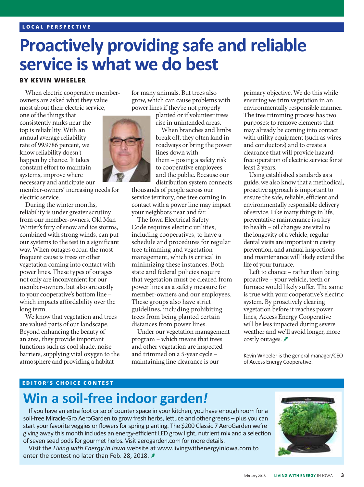# **Proactively providing safe and reliable service is what we do best**

### **BY KEVIN WHEELER**

When electric cooperative memberowners are asked what they value most about their electric service,

one of the things that consistently ranks near the top is reliability. With an annual average reliability rate of 99.9786 percent, we know reliability doesn't happen by chance. It takes constant effort to maintain systems, improve where necessary and anticipate our

member-owners' increasing needs for electric service.

During the winter months, reliability is under greater scrutiny from our member-owners. Old Man Winter's fury of snow and ice storms, combined with strong winds, can put our systems to the test in a significant way. When outages occur, the most frequent cause is trees or other vegetation coming into contact with power lines. These types of outages not only are inconvenient for our member-owners, but also are costly to your cooperative's bottom line – which impacts affordability over the long term.

We know that vegetation and trees are valued parts of our landscape. Beyond enhancing the beauty of an area, they provide important functions such as cool shade, noise barriers, supplying vital oxygen to the atmosphere and providing a habitat

for many animals. But trees also grow, which can cause problems with power lines if they're not properly

> planted or if volunteer trees rise in unintended areas.

When branches and limbs break off, they often land in roadways or bring the power lines down with them – posing a safety risk to cooperative employees and the public. Because our distribution system connects

thousands of people across our service territory, one tree coming in contact with a power line may impact your neighbors near and far.

The Iowa Electrical Safety Code requires electric utilities, including cooperatives, to have a schedule and procedures for regular tree trimming and vegetation management, which is critical in minimizing these instances. Both state and federal policies require that vegetation must be cleared from power lines as a safety measure for member-owners and our employees. These groups also have strict guidelines, including prohibiting trees from being planted certain distances from power lines.

Under our vegetation management program – which means that trees and other vegetation are inspected and trimmed on a 5-year cycle – maintaining line clearance is our

primary objective. We do this while ensuring we trim vegetation in an environmentally responsible manner. The tree trimming process has two purposes: to remove elements that may already be coming into contact with utility equipment (such as wires and conductors) and to create a clearance that will provide hazardfree operation of electric service for at least 2 years.

Using established standards as a guide, we also know that a methodical, proactive approach is important to ensure the safe, reliable, efficient and environmentally responsible delivery of service. Like many things in life, preventative maintenance is a key to health – oil changes are vital to the longevity of a vehicle, regular dental visits are important in cavity prevention, and annual inspections and maintenance will likely extend the life of your furnace.

Left to chance – rather than being proactive – your vehicle, teeth or furnace would likely suffer. The same is true with your cooperative's electric system. By proactively clearing vegetation before it reaches power lines, Access Energy Cooperative will be less impacted during severe weather and we'll avoid longer, more costly outages. *≢* 

Kevin Wheeler is the general manager/CEO of Access Energy Cooperative.

#### **EDITOR'S CHOICE CONTEST**

# **Win a soil-free indoor garden***!*

If you have an extra foot or so of counter space in your kitchen, you have enough room for a soil-free Miracle-Gro AeroGarden to grow fresh herbs, lettuce and other greens – plus you can start your favorite veggies or flowers for spring planting. The \$200 Classic 7 AeroGarden we're giving away this month includes an energy-efficient LED grow light, nutrient mix and a selection of seven seed pods for gourmet herbs. Visit aerogarden.com for more details.

Visit the *Living with Energy in Iowa* website at www.livingwithenergyiniowa.com to enter the contest no later than Feb. 28, 2018. ₺



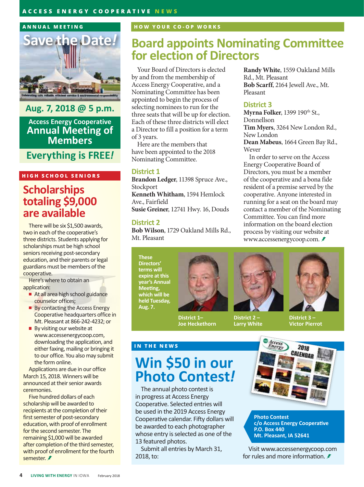### **ANNUAL MEETING**



**Aug. 7, 2018 @ 5 p.m. Access Energy Cooperative Annual Meeting of Members**

# **Everything is FREE***!*

### **HIGH SCHOOL SENIORS**

# **Scholarships totaling \$9,000 are available**

There will be six \$1,500 awards, two in each of the cooperative's three districts. Students applying for scholarships must be high school seniors receiving post-secondary education, and their parents or legal guardians must be members of the cooperative.

Here's where to obtain an application:

- At all area high school guidance counselor offices;
- **By contacting the Access Energy** Cooperative headquarters office in Mt. Pleasant at 866-242-4232; or
- By visiting our website at www.accessenergycoop.com, downloading the application, and either faxing, mailing or bringing it to our office. You also may submit the form online.

Applications are due in our office March 15, 2018. Winners will be announced at their senior awards ceremonies.

Five hundred dollars of each scholarship will be awarded to recipients at the completion of their first semester of post-secondary education, with proof of enrollment for the second semester. The remaining \$1,000 will be awarded after completion of the third semester, with proof of enrollment for the fourth semester. **₹** 

# **HOW YOUR CO-OP WORKS**

# **Board appoints Nominating Committee for election of Directors**

Your Board of Directors is elected by and from the membership of Access Energy Cooperative, and a Nominating Committee has been appointed to begin the process of selecting nominees to run for the three seats that will be up for election. Each of these three districts will elect a Director to fill a position for a term of 3 years.

Here are the members that have been appointed to the 2018 Nominating Committee.

### **District 1**

**Brandon Ledger**, 11398 Spruce Ave., Stockport **Kenneth Whitham**, 1594 Hemlock Ave., Fairfield **Susie Greiner**, 12741 Hwy. 16, Douds

### **District 2**

**Bob Wilson**, 1729 Oakland Mills Rd., Mt. Pleasant

**These Directors' terms will expire at this year's Annual Meeting, which will be held Tuesday, Aug. 7.**

**IN THE NEWS**

**District 1– Joe Heckethorn**



**District 2 – Larry White**

Rd., Mt. Pleasant **Bob Scarff**, 2164 Jewell Ave., Mt. Pleasant

**Randy White**, 1559 Oakland Mills

## **District 3**

**Myrna Folker**, 1399 190th St., Donnellson **Tim Myers**, 3264 New London Rd., New London **Dean Mabeus**, 1664 Green Bay Rd., Wever

In order to serve on the Access Energy Cooperative Board of Directors, you must be a member of the cooperative and a bona fide resident of a premise served by the cooperative. Anyone interested in running for a seat on the board may contact a member of the Nominating Committee. You can find more information on the board election process by visiting our website at www.accessenergycoop.com.

> **District 3 – Victor Pierrot**

# **Win \$50 in our Photo Contest***!*

The annual photo contest is in progress at Access Energy Cooperative. Selected entries will be used in the 2019 Access Energy Cooperative calendar. Fifty dollars will be awarded to each photographer whose entry is selected as one of the 13 featured photos.

Submit all entries by March 31, 2018, to:



**Photo Contest c/o Access Energy Cooperative P.O. Box 440 Mt. Pleasant, IA 52641**

Visit www.accessenergycoop.com for rules and more information.